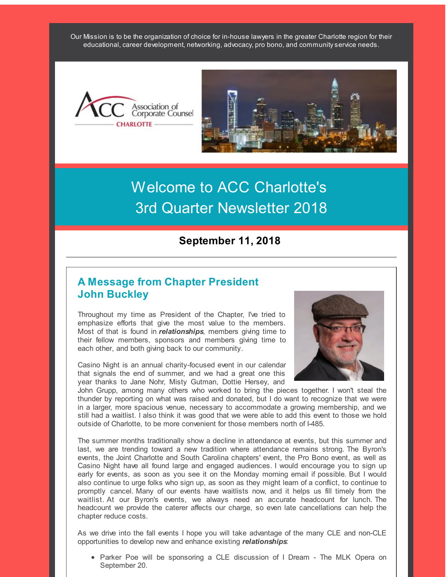Our Mission is to be the organization of choice for in-house lawyers in the greater Charlotte region for their educational, career development, networking, advocacy, pro bono, and communityservice needs.





# Welcome to ACC Charlotte's 3rd Quarter Newsletter 2018

## **September 11, 2018**

## **A Message from Chapter President John Buckley**

Throughout my time as President of the Chapter, I've tried to emphasize efforts that give the most value to the members. Most of that is found in *relationships*, members giving time to their fellow members, sponsors and members giving time to each other, and both giving back to our community.

Casino Night is an annual charity-focused event in our calendar that signals the end of summer, and we had a great one this year thanks to Jane Nohr, Misty Gutman, Dottie Hersey, and



John Grupp, among many others who worked to bring the pieces together. I won't steal the thunder by reporting on what was raised and donated, but I do want to recognize that we were in a larger, more spacious venue, necessary to accommodate a growing membership, and we still had a waitlist. I also think it was good that we were able to add this event to those we hold outside of Charlotte, to be more convenient for those members north of I-485.

The summer months traditionally show a decline in attendance at events, but this summer and last, we are trending toward a new tradition where attendance remains strong. The Byron's events, the Joint Charlotte and South Carolina chapters' event, the Pro Bono event, as well as Casino Night have all found large and engaged audiences. I would encourage you to sign up early for events, as soon as you see it on the Monday morning email if possible. But I would also continue to urge folks who sign up, as soon as they might learn of a conflict, to continue to promptly cancel. Many of our events have waitlists now, and it helps us fill timely from the waitlist. At our Byron's events, we always need an accurate headcount for lunch. The headcount we provide the caterer affects our charge, so even late cancellations can help the chapter reduce costs.

As we drive into the fall events I hope you will take advantage of the many CLE and non-CLE opportunities to develop new and enhance existing *relationships*:

• Parker Poe will be sponsoring a CLE discussion of I Dream - The MLK Opera on September 20.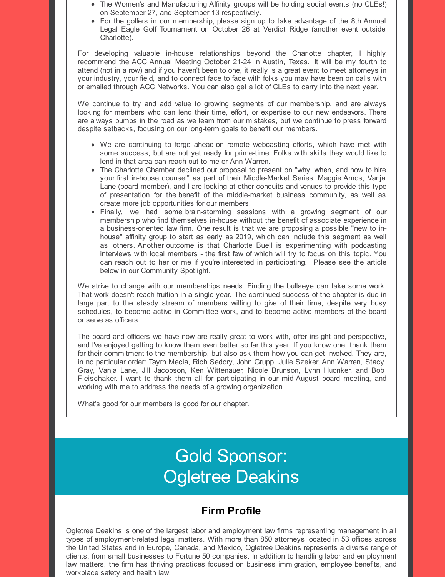- The Women's and Manufacturing Affinity groups will be holding social events (no CLEs!) on September 27, and September 13 respectively.
- For the golfers in our membership, please sign up to take advantage of the 8th Annual Legal Eagle Golf Tournament on October 26 at Verdict Ridge (another event outside Charlotte).

For developing valuable in-house relationships beyond the Charlotte chapter, I highly recommend the ACC Annual Meeting October 21-24 in Austin, Texas. It will be my fourth to attend (not in a row) and if you haven't been to one, it really is a great event to meet attorneys in your industry, your field, and to connect face to face with folks you may have been on calls with or emailed through ACC Networks. You can also get a lot of CLEs to carry into the next year.

We continue to try and add value to growing segments of our membership, and are always looking for members who can lend their time, effort, or expertise to our new endeavors. There are always bumps in the road as we learn from our mistakes, but we continue to press forward despite setbacks, focusing on our long-term goals to benefit our members.

- We are continuing to forge ahead on remote webcasting efforts, which have met with some success, but are not yet ready for prime-time. Folks with skills they would like to lend in that area can reach out to me or Ann Warren.
- The Charlotte Chamber declined our proposal to present on "why, when, and how to hire your first in-house counsel" as part of their Middle-Market Series. Maggie Amos, Vanja Lane (board member), and I are looking at other conduits and venues to provide this type of presentation for the benefit of the middle-market business community, as well as create more job opportunities for our members.
- Finally, we had some brain-storming sessions with a growing segment of our membership who find themselves in-house without the benefit of associate experience in a business-oriented law firm. One result is that we are proposing a possible "new to inhouse" affinity group to start as early as 2019, which can include this segment as well as others. Another outcome is that Charlotte Buell is experimenting with podcasting interviews with local members - the first few of which will try to focus on this topic. You can reach out to her or me if you're interested in participating. Please see the article below in our Community Spotlight.

We strive to change with our memberships needs. Finding the bullseye can take some work. That work doesn't reach fruition in a single year. The continued success of the chapter is due in large part to the steady stream of members willing to give of their time, despite very busy schedules, to become active in Committee work, and to become active members of the board or serve as officers.

The board and officers we have now are really great to work with, offer insight and perspective, and I've enjoyed getting to know them even better so far this year. If you know one, thank them for their commitment to the membership, but also ask them how you can get involved. They are, in no particular order: Tayrn Mecia, Rich Sedory, John Grupp, Julie Szeker, Ann Warren, Stacy Gray, Vanja Lane, Jill Jacobson, Ken Wittenauer, Nicole Brunson, Lynn Huonker, and Bob Fleischaker. I want to thank them all for participating in our mid-August board meeting, and working with me to address the needs of a growing organization.

What's good for our members is good for our chapter.

# Gold Sponsor: Ogletree Deakins

## **Firm Profile**

Ogletree Deakins is one of the largest labor and employment law firms representing management in all types of employment-related legal matters. With more than 850 attorneys located in 53 offices across the United States and in Europe, Canada, and Mexico, Ogletree Deakins represents a diverse range of clients, from small businesses to Fortune 50 companies. In addition to handling labor and employment law matters, the firm has thriving practices focused on business immigration, employee benefits, and workplace safety and health law.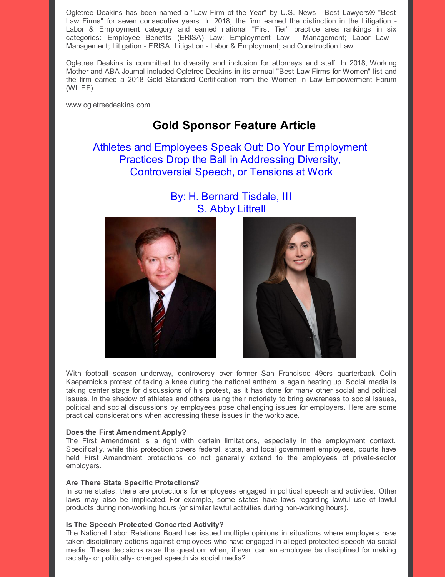Ogletree Deakins has been named a "Law Firm of the Year" by U.S. News - Best Lawyers® "Best Law Firms" for seven consecutive years. In 2018, the firm earned the distinction in the Litigation - Labor & Employment category and earned national "First Tier" practice area rankings in six categories: Employee Benefits (ERISA) Law; Employment Law - Management; Labor Law - Management; Litigation - ERISA; Litigation - Labor & Employment; and Construction Law.

Ogletree Deakins is committed to diversity and inclusion for attorneys and staff. In 2018, Working Mother and ABA Journal included Ogletree Deakins in its annual "Best Law Firms for Women" list and the firm earned a 2018 Gold Standard Certification from the Women in Law Empowerment Forum (WILEF).

www.ogletreedeakins.com

## **Gold Sponsor Feature Article**

Athletes and Employees Speak Out: Do Your Employment Practices Drop the Ball in Addressing Diversity, Controversial Speech, or Tensions at Work

## By: H. Bernard Tisdale, III S. Abby Littrell





With football season underway, controversy over former San Francisco 49ers quarterback Colin Kaepernick's protest of taking a knee during the national anthem is again heating up. Social media is taking center stage for discussions of his protest, as it has done for many other social and political issues. In the shadow of athletes and others using their notoriety to bring awareness to social issues, political and social discussions by employees pose challenging issues for employers. Here are some practical considerations when addressing these issues in the workplace.

#### **Does the First Amendment Apply?**

The First Amendment is a right with certain limitations, especially in the employment context. Specifically, while this protection covers federal, state, and local government employees, courts have held First Amendment protections do not generally extend to the employees of private-sector employers.

#### **Are There State Specific Protections?**

In some states, there are protections for employees engaged in political speech and activities. Other laws may also be implicated. For example, some states have laws regarding lawful use of lawful products during non-working hours (or similar lawful activities during non-working hours).

#### **Is The Speech Protected Concerted Activity?**

The National Labor Relations Board has issued multiple opinions in situations where employers have taken disciplinary actions against employees who have engaged in alleged protected speech via social media. These decisions raise the question: when, if ever, can an employee be disciplined for making racially- or politically- charged speech via social media?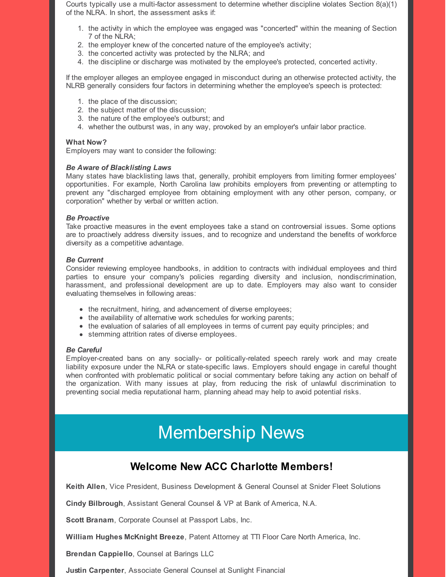Courts typically use a multi-factor assessment to determine whether discipline violates Section 8(a)(1) of the NLRA. In short, the assessment asks if:

- 1. the activity in which the employee was engaged was "concerted" within the meaning of Section 7 of the NLRA;
- 2. the employer knew of the concerted nature of the employee's activity;
- 3. the concerted activity was protected by the NLRA; and
- 4. the discipline or discharge was motivated by the employee's protected, concerted activity.

If the employer alleges an employee engaged in misconduct during an otherwise protected activity, the NLRB generally considers four factors in determining whether the employee's speech is protected:

- 1. the place of the discussion;
- 2. the subject matter of the discussion;
- 3. the nature of the employee's outburst; and
- 4. whether the outburst was, in any way, provoked by an employer's unfair labor practice.

#### **What Now?**

Employers may want to consider the following:

#### *Be Aware of Blacklisting Laws*

Many states have blacklisting laws that, generally, prohibit employers from limiting former employees' opportunities. For example, North Carolina law prohibits employers from preventing or attempting to prevent any "discharged employee from obtaining employment with any other person, company, or corporation" whether by verbal or written action.

#### *Be Proactive*

Take proactive measures in the event employees take a stand on controversial issues. Some options are to proactively address diversity issues, and to recognize and understand the benefits of workforce diversity as a competitive advantage.

#### *Be Current*

Consider reviewing employee handbooks, in addition to contracts with individual employees and third parties to ensure your company's policies regarding diversity and inclusion, nondiscrimination, harassment, and professional development are up to date. Employers may also want to consider evaluating themselves in following areas:

- the recruitment, hiring, and advancement of diverse employees;
- the availability of alternative work schedules for working parents;
- the evaluation of salaries of all employees in terms of current pay equity principles; and
- stemming attrition rates of diverse employees.

#### *Be Careful*

Employer-created bans on any socially- or politically-related speech rarely work and may create liability exposure under the NLRA or state-specific laws. Employers should engage in careful thought when confronted with problematic political or social commentary before taking any action on behalf of the organization. With many issues at play, from reducing the risk of unlawful discrimination to preventing social media reputational harm, planning ahead may help to avoid potential risks.

# Membership News

## **Welcome New ACC Charlotte Members!**

**Keith Allen**, Vice President, Business Development & General Counsel at Snider Fleet Solutions

**Cindy Bilbrough**, Assistant General Counsel & VP at Bank of America, N.A.

**Scott Branam**, Corporate Counsel at Passport Labs, Inc.

**William Hughes McKnight Breeze**, Patent Attorney at TTI Floor Care North America, Inc.

**Brendan Cappiello**, Counsel at Barings LLC

**Justin Carpenter**, Associate General Counsel at Sunlight Financial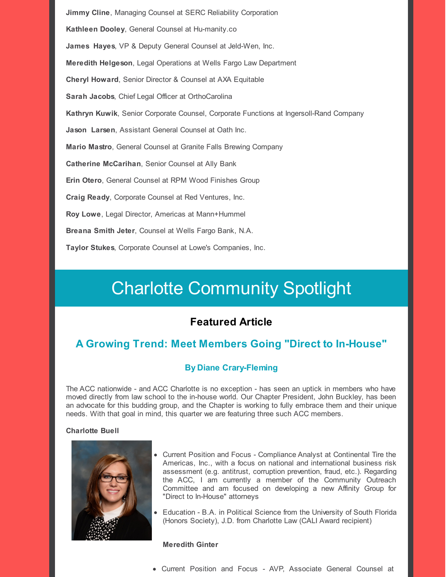**Jimmy Cline**, Managing Counsel at SERC Reliability Corporation **Kathleen Dooley**, General Counsel at Hu-manity.co **James Hayes**, VP & Deputy General Counsel at Jeld-Wen, Inc. **Meredith Helgeson**, Legal Operations at Wells Fargo Law Department **Cheryl Howard**, Senior Director & Counsel at AXA Equitable **Sarah Jacobs**, Chief Legal Officer at OrthoCarolina **Kathryn Kuwik**, Senior Corporate Counsel, Corporate Functions at Ingersoll-Rand Company **Jason Larsen**, Assistant General Counsel at Oath Inc. **Mario Mastro**, General Counsel at Granite Falls Brewing Company **Catherine McCarihan**, Senior Counsel at Ally Bank **Erin Otero**, General Counsel at RPM Wood Finishes Group **Craig Ready**, Corporate Counsel at Red Ventures, Inc. **Roy Lowe**, Legal Director, Americas at Mann+Hummel **Breana Smith Jeter**, Counsel at Wells Fargo Bank, N.A. **Taylor Stukes**, Corporate Counsel at Lowe's Companies, Inc.

# Charlotte Community Spotlight

## **Featured Article**

## **A Growing Trend: Meet Members Going "Direct to In-House"**

### **By Diane Crary-Fleming**

The ACC nationwide - and ACC Charlotte is no exception - has seen an uptick in members who have moved directly from law school to the in-house world. Our Chapter President, John Buckley, has been an advocate for this budding group, and the Chapter is working to fully embrace them and their unique needs. With that goal in mind, this quarter we are featuring three such ACC members.

### **Charlotte Buell**



- Current Position and Focus Compliance Analyst at Continental Tire the Americas, Inc., with a focus on national and international business risk assessment (e.g. antitrust, corruption prevention, fraud, etc.). Regarding the ACC, I am currently a member of the Community Outreach Committee and am focused on developing a new Affinity Group for "Direct to In-House" attorneys
- Education B.A. in Political Science from the University of South Florida (Honors Society), J.D. from Charlotte Law (CALI Award recipient)

#### **Meredith Ginter**

Current Position and Focus - AVP, Associate General Counsel at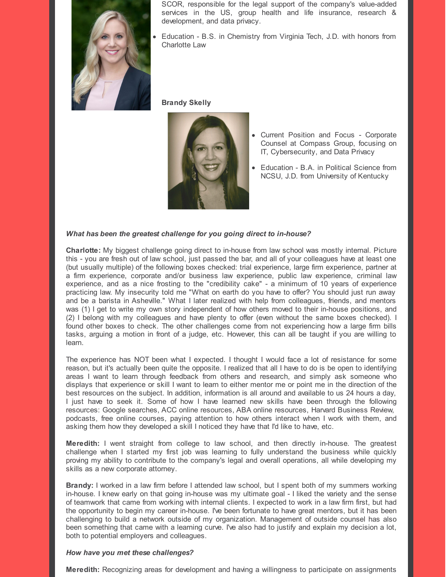

SCOR, responsible for the legal support of the company's value-added services in the US, group health and life insurance, research & development, and data privacy.

Education - B.S. in Chemistry from Virginia Tech, J.D. with honors from Charlotte Law

**Brandy Skelly**



- Current Position and Focus Corporate  $\bullet$ Counsel at Compass Group, focusing on IT, Cybersecurity, and Data Privacy
- Education B.A. in Political Science from NCSU, J.D. from University of Kentucky

### *What has been the greatest challenge for you going direct to in-house?*

**Charlotte:** My biggest challenge going direct to in-house from law school was mostly internal. Picture this - you are fresh out of law school, just passed the bar, and all of your colleagues have at least one (but usually multiple) of the following boxes checked: trial experience, large firm experience, partner at a firm experience, corporate and/or business law experience, public law experience, criminal law experience, and as a nice frosting to the "credibility cake" - a minimum of 10 years of experience practicing law. My insecurity told me "What on earth do you have to offer? You should just run away and be a barista in Asheville." What I later realized with help from colleagues, friends, and mentors was (1) I get to write my own story independent of how others moved to their in-house positions, and (2) I belong with my colleagues and have plenty to offer (even without the same boxes checked). I found other boxes to check. The other challenges come from not experiencing how a large firm bills tasks, arguing a motion in front of a judge, etc. However, this can all be taught if you are willing to learn.

The experience has NOT been what I expected. I thought I would face a lot of resistance for some reason, but it's actually been quite the opposite. I realized that all I have to do is be open to identifying areas I want to learn through feedback from others and research, and simply ask someone who displays that experience or skill I want to learn to either mentor me or point me in the direction of the best resources on the subject. In addition, information is all around and available to us 24 hours a day, I just have to seek it. Some of how I have learned new skills have been through the following resources: Google searches, ACC online resources, ABA online resources, Harvard Business Review, podcasts, free online courses, paying attention to how others interact when I work with them, and asking them how they developed a skill I noticed they have that I'd like to have, etc.

**Meredith:** I went straight from college to law school, and then directly in-house. The greatest challenge when I started my first job was learning to fully understand the business while quickly proving my ability to contribute to the company's legal and overall operations, all while developing my skills as a new corporate attorney.

**Brandy:** I worked in a law firm before I attended law school, but I spent both of my summers working in-house. I knew early on that going in-house was my ultimate goal - I liked the variety and the sense of teamwork that came from working with internal clients. I expected to work in a law firm first, but had the opportunity to begin my career in-house. I've been fortunate to have great mentors, but it has been challenging to build a network outside of my organization. Management of outside counsel has also been something that came with a learning curve. I've also had to justify and explain my decision a lot, both to potential employers and colleagues.

### *How have you met these challenges?*

**Meredith:** Recognizing areas for development and having a willingness to participate on assignments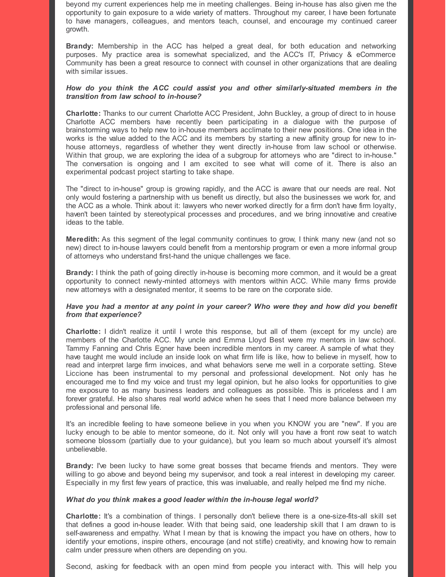beyond my current experiences help me in meeting challenges. Being in-house has also given me the opportunity to gain exposure to a wide variety of matters. Throughout my career, I have been fortunate to have managers, colleagues, and mentors teach, counsel, and encourage my continued career growth.

**Brandy:** Membership in the ACC has helped a great deal, for both education and networking purposes. My practice area is somewhat specialized, and the ACC's IT, Privacy & eCommerce Community has been a great resource to connect with counsel in other organizations that are dealing with similar issues.

#### *How do you think the ACC could assist you and other similarly-situated members in the transition from law school to in-house?*

**Charlotte:** Thanks to our current Charlotte ACC President, John Buckley, a group of direct to in house Charlotte ACC members have recently been participating in a dialogue with the purpose of brainstorming ways to help new to in-house members acclimate to their new positions. One idea in the works is the value added to the ACC and its members by starting a new affinity group for new to inhouse attorneys, regardless of whether they went directly in-house from law school or otherwise. Within that group, we are exploring the idea of a subgroup for attorneys who are "direct to in-house." The conversation is ongoing and I am excited to see what will come of it. There is also an experimental podcast project starting to take shape.

The "direct to in-house" group is growing rapidly, and the ACC is aware that our needs are real. Not only would fostering a partnership with us benefit us directly, but also the businesses we work for, and the ACC as a whole. Think about it: lawyers who never worked directly for a firm don't have firm loyalty, haven't been tainted by stereotypical processes and procedures, and we bring innovative and creative ideas to the table.

**Meredith:** As this segment of the legal community continues to grow, I think many new (and not so new) direct to in-house lawyers could benefit from a mentorship program or even a more informal group of attorneys who understand first-hand the unique challenges we face.

**Brandy:** I think the path of going directly in-house is becoming more common, and it would be a great opportunity to connect newly-minted attorneys with mentors within ACC. While many firms provide new attorneys with a designated mentor, it seems to be rare on the corporate side.

#### *Have you had a mentor at any point in your career? Who were they and how did you benefit from that experience?*

**Charlotte:** I didn't realize it until I wrote this response, but all of them (except for my uncle) are members of the Charlotte ACC. My uncle and Emma Lloyd Best were my mentors in law school. Tammy Fanning and Chris Egner have been incredible mentors in my career. A sample of what they have taught me would include an inside look on what firm life is like, how to believe in myself, how to read and interpret large firm invoices, and what behaviors serve me well in a corporate setting. Steve Liccione has been instrumental to my personal and professional development. Not only has he encouraged me to find my voice and trust my legal opinion, but he also looks for opportunities to give me exposure to as many business leaders and colleagues as possible. This is priceless and I am forever grateful. He also shares real world advice when he sees that I need more balance between my professional and personal life.

It's an incredible feeling to have someone believe in you when you KNOW you are "new". If you are lucky enough to be able to mentor someone, do it. Not only will you have a front row seat to watch someone blossom (partially due to your guidance), but you learn so much about yourself it's almost unbelievable.

**Brandy:** I've been lucky to have some great bosses that became friends and mentors. They were willing to go above and beyond being my supervisor, and took a real interest in developing my career. Especially in my first few years of practice, this was invaluable, and really helped me find my niche.

#### *What do you think makes a good leader within the in-house legal world?*

**Charlotte:** It's a combination of things. I personally don't believe there is a one-size-fits-all skill set that defines a good in-house leader. With that being said, one leadership skill that I am drawn to is self-awareness and empathy. What I mean by that is knowing the impact you have on others, how to identify your emotions, inspire others, encourage (and not stifle) creativity, and knowing how to remain calm under pressure when others are depending on you.

Second, asking for feedback with an open mind from people you interact with. This will help you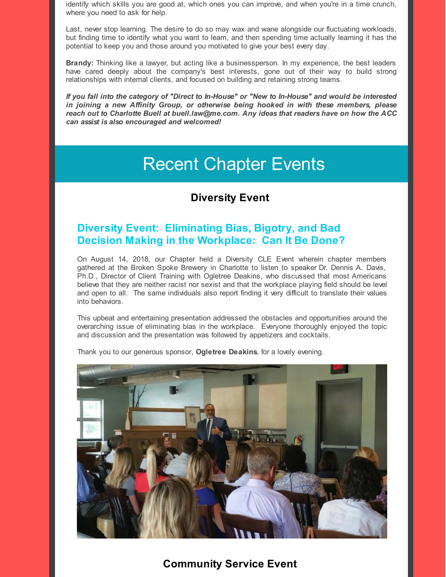identify which skills you are good at, which ones you can improve, and when you're in a time crunch, where you need to ask for help.

Last, never stop learning. The desire to do so may wax and wane alongside our fluctuating workloads, but finding time to identify what you want to learn, and then spending time actually learning it has the potential to keep you and those around you motivated to give your best every day.

**Brandy:** Thinking like a lawyer, but acting like a businessperson. In my experience, the best leaders have cared deeply about the company's best interests, gone out of their way to build strong relationships with internal clients, and focused on building and retaining strong teams.

*If you fall into the category of "Direct to In-House" or "New to In-House" and would be interested in joining a new Affinity Group, or otherwise being hooked in with these members, please reach out to Charlotte Buell at buell.law@me.com. Any ideas that readers have on how the ACC can assist is also encouraged and welcomed!*

## Recent Chapter Events

## **Diversity Event**

## **Diversity Event: Eliminating Bias, Bigotry, and Bad Decision Making in the Workplace: Can It Be Done?**

On August 14, 2018, our Chapter held a Diversity CLE Event wherein chapter members gathered at the Broken Spoke Brewery in Charlotte to listen to speaker Dr. Dennis A. Davis, Ph.D., Director of Client Training with Ogletree Deakins, who discussed that most Americans believe that they are neither racist nor sexist and that the workplace playing field should be level and open to all. The same individuals also report finding it very difficult to translate their values into behaviors.

This upbeat and entertaining presentation addressed the obstacles and opportunities around the overarching issue of eliminating bias in the workplace. Everyone thoroughly enjoyed the topic and discussion and the presentation was followed by appetizers and cocktails.



Thank you to our generous sponsor, **Ogletree Deakins**, for a lovely evening.

## **Community Service Event**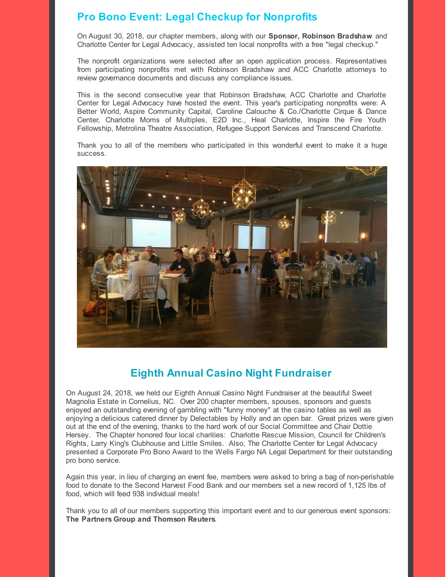## **Pro Bono Event: Legal Checkup for Nonprofits**

On August 30, 2018, our chapter members, along with our **Sponsor, Robinson Bradshaw** and Charlotte Center for Legal Advocacy, assisted ten local nonprofits with a free "legal checkup."

The nonprofit organizations were selected after an open application process. Representatives from participating nonprofits met with Robinson Bradshaw and ACC Charlotte attorneys to review governance documents and discuss any compliance issues.

This is the second consecutive year that Robinson Bradshaw, ACC Charlotte and Charlotte Center for Legal Advocacy have hosted the event. This year's participating nonprofits were: A Better World, Aspire Community Capital, Caroline Calouche & Co./Charlotte Cirque & Dance Center, Charlotte Moms of Multiples, E2D Inc., Heal Charlotte, Inspire the Fire Youth Fellowship, Metrolina Theatre Association, Refugee Support Services and Transcend Charlotte.

Thank you to all of the members who participated in this wonderful event to make it a huge success.



## **Eighth Annual Casino Night Fundraiser**

On August 24, 2018, we held our Eighth Annual Casino Night Fundraiser at the beautiful Sweet Magnolia Estate in Cornelius, NC. Over 200 chapter members, spouses, sponsors and guests enjoyed an outstanding evening of gambling with "funny money" at the casino tables as well as enjoying a delicious catered dinner by Delectables by Holly and an open bar. Great prizes were given out at the end of the evening, thanks to the hard work of our Social Committee and Chair Dottie Hersey. The Chapter honored four local charities: Charlotte Rescue Mission, Council for Children's Rights, Larry King's Clubhouse and Little Smiles. Also, The Charlotte Center for Legal Advocacy presented a Corporate Pro Bono Award to the Wells Fargo NA Legal Department for their outstanding pro bono service.

Again this year, in lieu of charging an event fee, members were asked to bring a bag of non-perishable food to donate to the Second Harvest Food Bank and our members set a new record of 1,125 lbs of food, which will feed 938 individual meals!

Thank you to all of our members supporting this important event and to our generous event sponsors: **The Partners Group and Thomson Reuters**.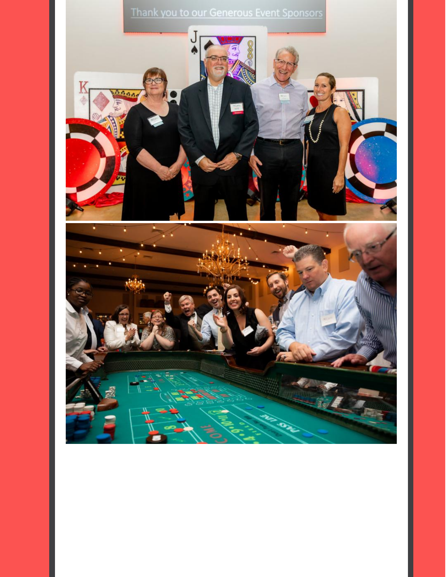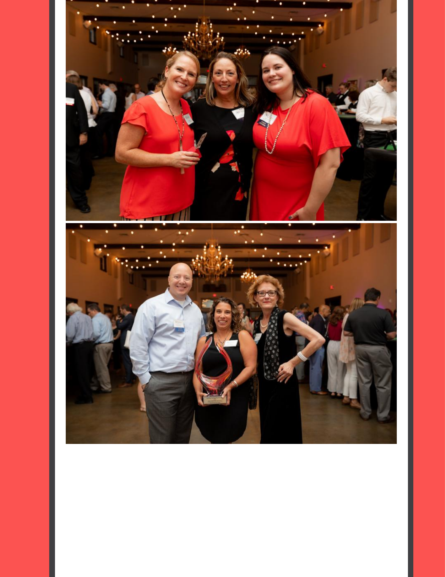